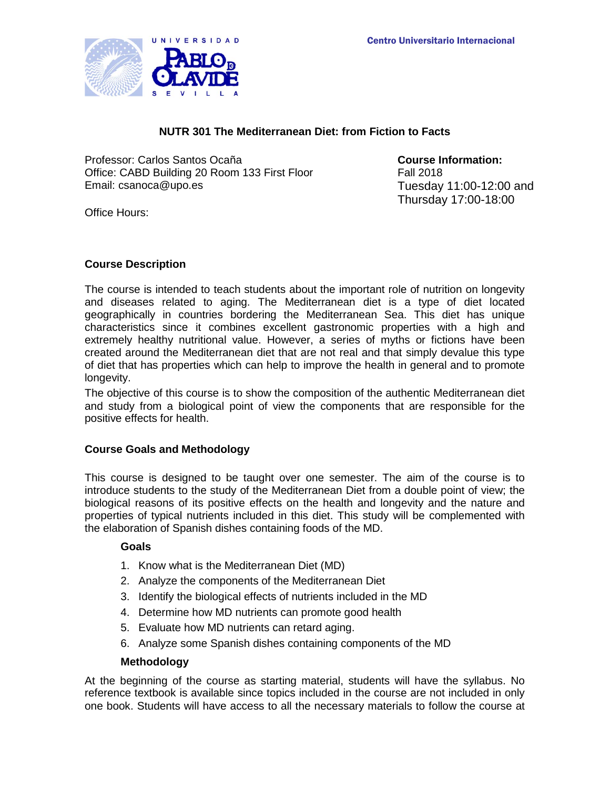

# **NUTR 301 The Mediterranean Diet: from Fiction to Facts**

Professor: Carlos Santos Ocaña<br>Office: CABD Building 20 Room 133 First Floor **Course Information:**<br>Fall 2018 Office: CABD Building 20 Room 133 First Floor Email: csanoca@upo.es Tuesday 11:00-12:00 and

Thursday 17:00-18:00

Office Hours:

## **Course Description**

The course is intended to teach students about the important role of nutrition on longevity and diseases related to aging. The Mediterranean diet is a type of diet located geographically in countries bordering the Mediterranean Sea. This diet has unique characteristics since it combines excellent gastronomic properties with a high and extremely healthy nutritional value. However, a series of myths or fictions have been created around the Mediterranean diet that are not real and that simply devalue this type of diet that has properties which can help to improve the health in general and to promote longevity.

The objective of this course is to show the composition of the authentic Mediterranean diet and study from a biological point of view the components that are responsible for the positive effects for health.

# **Course Goals and Methodology**

This course is designed to be taught over one semester. The aim of the course is to introduce students to the study of the Mediterranean Diet from a double point of view; the biological reasons of its positive effects on the health and longevity and the nature and properties of typical nutrients included in this diet. This study will be complemented with the elaboration of Spanish dishes containing foods of the MD.

#### **Goals**

- 1. Know what is the Mediterranean Diet (MD)
- 2. Analyze the components of the Mediterranean Diet
- 3. Identify the biological effects of nutrients included in the MD
- 4. Determine how MD nutrients can promote good health
- 5. Evaluate how MD nutrients can retard aging.
- 6. Analyze some Spanish dishes containing components of the MD

#### **Methodology**

At the beginning of the course as starting material, students will have the syllabus. No reference textbook is available since topics included in the course are not included in only one book. Students will have access to all the necessary materials to follow the course at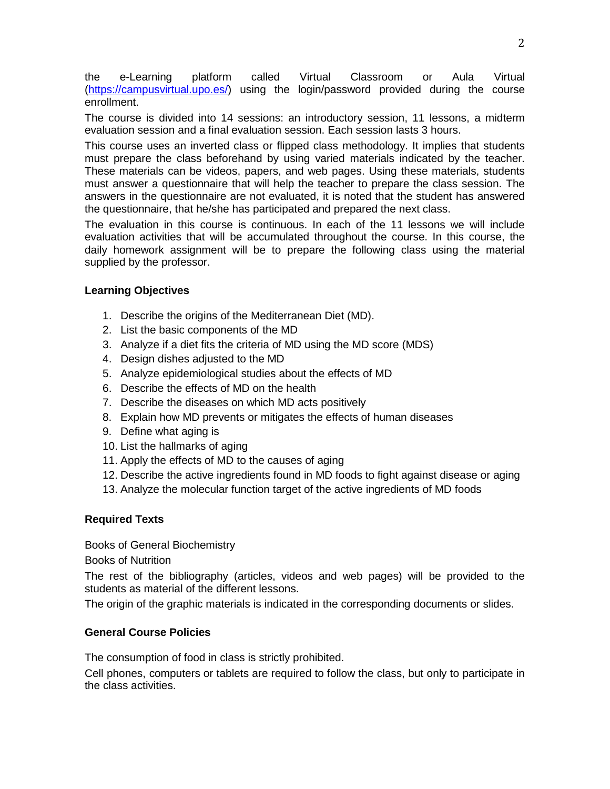the e-Learning platform called Virtual Classroom or Aula Virtual [\(https://campusvirtual.upo.es/\)](https://campusvirtual.upo.es/) using the login/password provided during the course enrollment.

The course is divided into 14 sessions: an introductory session, 11 lessons, a midterm evaluation session and a final evaluation session. Each session lasts 3 hours.

This course uses an inverted class or flipped class methodology. It implies that students must prepare the class beforehand by using varied materials indicated by the teacher. These materials can be videos, papers, and web pages. Using these materials, students must answer a questionnaire that will help the teacher to prepare the class session. The answers in the questionnaire are not evaluated, it is noted that the student has answered the questionnaire, that he/she has participated and prepared the next class.

The evaluation in this course is continuous. In each of the 11 lessons we will include evaluation activities that will be accumulated throughout the course. In this course, the daily homework assignment will be to prepare the following class using the material supplied by the professor.

# **Learning Objectives**

- 1. Describe the origins of the Mediterranean Diet (MD).
- 2. List the basic components of the MD
- 3. Analyze if a diet fits the criteria of MD using the MD score (MDS)
- 4. Design dishes adjusted to the MD
- 5. Analyze epidemiological studies about the effects of MD
- 6. Describe the effects of MD on the health
- 7. Describe the diseases on which MD acts positively
- 8. Explain how MD prevents or mitigates the effects of human diseases
- 9. Define what aging is
- 10. List the hallmarks of aging
- 11. Apply the effects of MD to the causes of aging
- 12. Describe the active ingredients found in MD foods to fight against disease or aging
- 13. Analyze the molecular function target of the active ingredients of MD foods

#### **Required Texts**

Books of General Biochemistry

Books of Nutrition

The rest of the bibliography (articles, videos and web pages) will be provided to the students as material of the different lessons.

The origin of the graphic materials is indicated in the corresponding documents or slides.

#### **General Course Policies**

The consumption of food in class is strictly prohibited.

Cell phones, computers or tablets are required to follow the class, but only to participate in the class activities.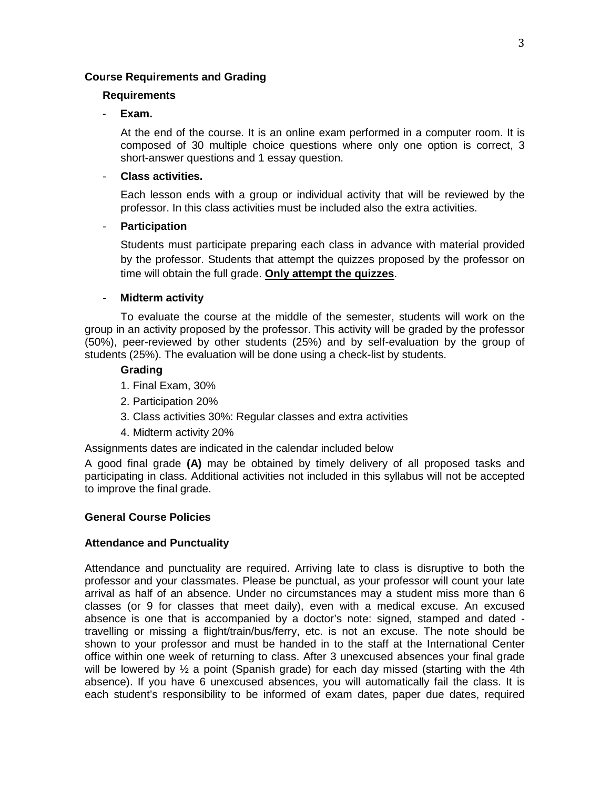### **Course Requirements and Grading**

#### **Requirements**

#### - **Exam.**

At the end of the course. It is an online exam performed in a computer room. It is composed of 30 multiple choice questions where only one option is correct, 3 short-answer questions and 1 essay question.

### - **Class activities.**

Each lesson ends with a group or individual activity that will be reviewed by the professor. In this class activities must be included also the extra activities.

#### - **Participation**

Students must participate preparing each class in advance with material provided by the professor. Students that attempt the quizzes proposed by the professor on time will obtain the full grade. **Only attempt the quizzes**.

## - **Midterm activity**

To evaluate the course at the middle of the semester, students will work on the group in an activity proposed by the professor. This activity will be graded by the professor (50%), peer-reviewed by other students (25%) and by self-evaluation by the group of students (25%). The evaluation will be done using a check-list by students.

#### **Grading**

- 1. Final Exam, 30%
- 2. Participation 20%
- 3. Class activities 30%: Regular classes and extra activities
- 4. Midterm activity 20%

Assignments dates are indicated in the calendar included below

A good final grade **(A)** may be obtained by timely delivery of all proposed tasks and participating in class. Additional activities not included in this syllabus will not be accepted to improve the final grade.

#### **General Course Policies**

# **Attendance and Punctuality**

Attendance and punctuality are required. Arriving late to class is disruptive to both the professor and your classmates. Please be punctual, as your professor will count your late arrival as half of an absence. Under no circumstances may a student miss more than 6 classes (or 9 for classes that meet daily), even with a medical excuse. An excused absence is one that is accompanied by a doctor's note: signed, stamped and dated travelling or missing a flight/train/bus/ferry, etc. is not an excuse. The note should be shown to your professor and must be handed in to the staff at the International Center office within one week of returning to class. After 3 unexcused absences your final grade will be lowered by  $\frac{1}{2}$  a point (Spanish grade) for each day missed (starting with the 4th absence). If you have 6 unexcused absences, you will automatically fail the class. It is each student's responsibility to be informed of exam dates, paper due dates, required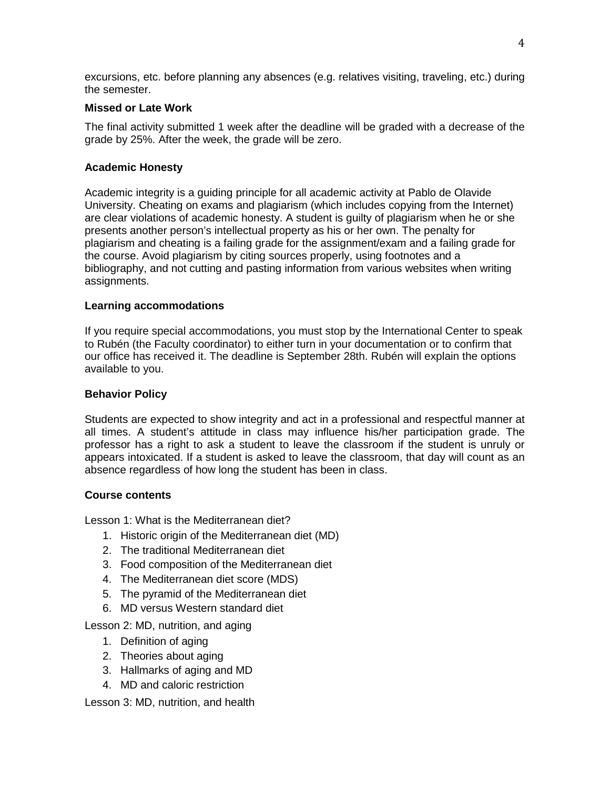excursions, etc. before planning any absences (e.g. relatives visiting, traveling, etc.) during the semester.

## **Missed or Late Work**

The final activity submitted 1 week after the deadline will be graded with a decrease of the grade by 25%. After the week, the grade will be zero.

# **Academic Honesty**

Academic integrity is a guiding principle for all academic activity at Pablo de Olavide University. Cheating on exams and plagiarism (which includes copying from the Internet) are clear violations of academic honesty. A student is guilty of plagiarism when he or she presents another person's intellectual property as his or her own. The penalty for plagiarism and cheating is a failing grade for the assignment/exam and a failing grade for the course. Avoid plagiarism by citing sources properly, using footnotes and a bibliography, and not cutting and pasting information from various websites when writing assignments.

## **Learning accommodations**

If you require special accommodations, you must stop by the International Center to speak to Rubén (the Faculty coordinator) to either turn in your documentation or to confirm that our office has received it. The deadline is September 28th. Rubén will explain the options available to you.

## **Behavior Policy**

Students are expected to show integrity and act in a professional and respectful manner at all times. A student's attitude in class may influence his/her participation grade. The professor has a right to ask a student to leave the classroom if the student is unruly or appears intoxicated. If a student is asked to leave the classroom, that day will count as an absence regardless of how long the student has been in class.

#### **Course contents**

Lesson 1: What is the Mediterranean diet?

- 1. Historic origin of the Mediterranean diet (MD)
- 2. The traditional Mediterranean diet
- 3. Food composition of the Mediterranean diet
- 4. The Mediterranean diet score (MDS)
- 5. The pyramid of the Mediterranean diet
- 6. MD versus Western standard diet

Lesson 2: MD, nutrition, and aging

- 1. Definition of aging
- 2. Theories about aging
- 3. Hallmarks of aging and MD
- 4. MD and caloric restriction

Lesson 3: MD, nutrition, and health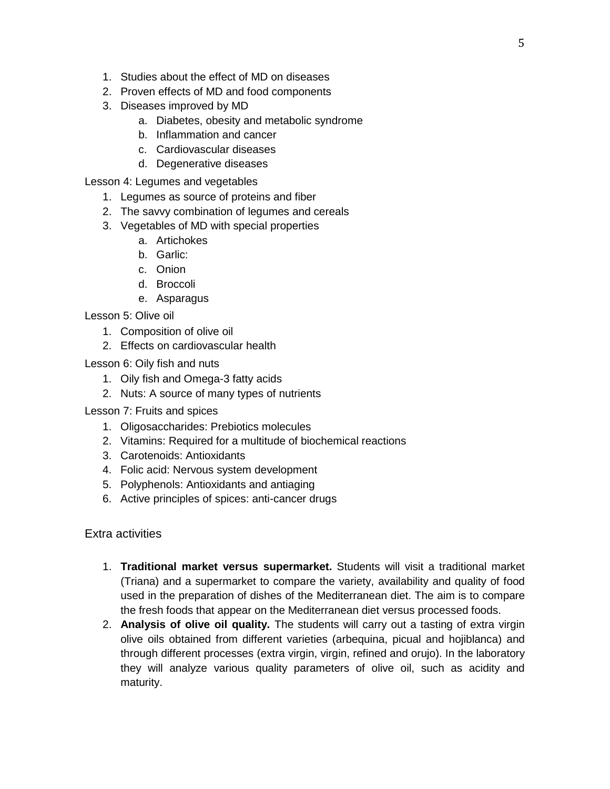- 1. Studies about the effect of MD on diseases
- 2. Proven effects of MD and food components
- 3. Diseases improved by MD
	- a. Diabetes, obesity and metabolic syndrome
	- b. Inflammation and cancer
	- c. Cardiovascular diseases
	- d. Degenerative diseases

Lesson 4: Legumes and vegetables

- 1. Legumes as source of proteins and fiber
- 2. The savvy combination of legumes and cereals
- 3. Vegetables of MD with special properties
	- a. Artichokes
	- b. Garlic:
	- c. Onion
	- d. Broccoli
	- e. Asparagus

Lesson 5: Olive oil

- 1. Composition of olive oil
- 2. Effects on cardiovascular health

Lesson 6: Oily fish and nuts

- 1. Oily fish and Omega-3 fatty acids
- 2. Nuts: A source of many types of nutrients

Lesson 7: Fruits and spices

- 1. Oligosaccharides: Prebiotics molecules
- 2. Vitamins: Required for a multitude of biochemical reactions
- 3. Carotenoids: Antioxidants
- 4. Folic acid: Nervous system development
- 5. Polyphenols: Antioxidants and antiaging
- 6. Active principles of spices: anti-cancer drugs

Extra activities

- 1. **Traditional market versus supermarket.** Students will visit a traditional market (Triana) and a supermarket to compare the variety, availability and quality of food used in the preparation of dishes of the Mediterranean diet. The aim is to compare the fresh foods that appear on the Mediterranean diet versus processed foods.
- 2. **Analysis of olive oil quality.** The students will carry out a tasting of extra virgin olive oils obtained from different varieties (arbequina, picual and hojiblanca) and through different processes (extra virgin, virgin, refined and orujo). In the laboratory they will analyze various quality parameters of olive oil, such as acidity and maturity.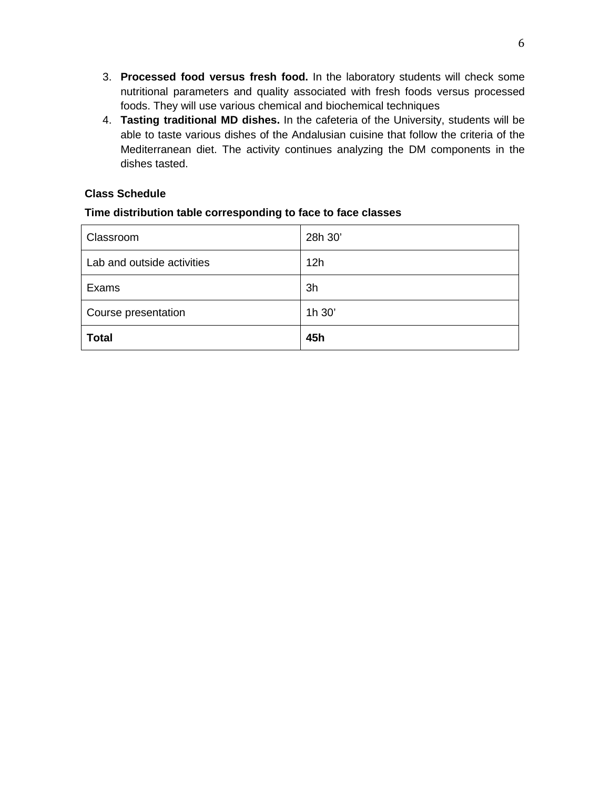- 3. **Processed food versus fresh food.** In the laboratory students will check some nutritional parameters and quality associated with fresh foods versus processed foods. They will use various chemical and biochemical techniques
- 4. **Tasting traditional MD dishes.** In the cafeteria of the University, students will be able to taste various dishes of the Andalusian cuisine that follow the criteria of the Mediterranean diet. The activity continues analyzing the DM components in the dishes tasted.

# **Class Schedule**

## **Time distribution table corresponding to face to face classes**

| Classroom                  | 28h 30' |
|----------------------------|---------|
| Lab and outside activities | 12h     |
| Exams                      | 3h      |
| Course presentation        | 1h 30'  |
| <b>Total</b>               | 45h     |